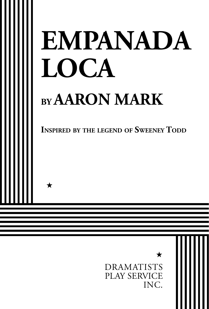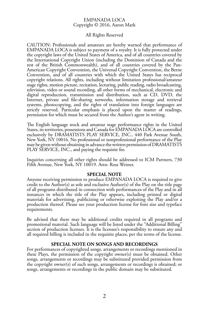#### EMPANADA LOCA Copyright © 2016, Aaron Mark

#### All Rights Reserved

CAUTION: Professionals and amateurs are hereby warned that performance of EMPANADA LOCA is subject to payment of a royalty. It is fully protected under the copyright laws of the United States of America, and of all countries covered by the International Copyright Union (including the Dominion of Canada and the rest of the British Commonwealth), and of all countries covered by the Pan-American Copyright Convention, the Universal Copyright Convention, the Berne Convention, and of all countries with which the United States has reciprocal copyright relations. All rights, including without limitation professional/amateur stage rights, motion picture, recitation, lecturing, public reading, radio broadcasting, television, video or sound recording, all other forms of mechanical, electronic and digital reproduction, transmission and distribution, such as CD, DVD, the Internet, private and file-sharing networks, information storage and retrieval systems, photocopying, and the rights of translation into foreign languages are strictly reserved. Particular emphasis is placed upon the matter of readings, permission for which must be secured from the Author's agent in writing.

The English language stock and amateur stage performance rights in the United States, its territories, possessions and Canada for EMPANADA LŌCA are controlled exclusively by DRAMATISTS PLAY SERVICE, INC., 440 Park Avenue South, New York, NY 10016. No professional or nonprofessional performance of the Play may be given without obtaining in advance the written permission of DRAMATISTS PLAY SERVICE, INC., and paying the requisite fee.

Inquiries concerning all other rights should be addressed to ICM Partners, 730 Fifth Avenue, New York, NY 10019. Attn: Ross Weiner.

#### **SPECIAL NOTE**

Anyone receiving permission to produce EMPANADA LOCA is required to give credit to the Author(s) as sole and exclusive Author(s) of the Play on the title page of all programs distributed in connection with performances of the Play and in all instances in which the title of the Play appears, including printed or digital materials for advertising, publicizing or otherwise exploiting the Play and/or a production thereof. Please see your production license for font size and typeface requirements.

Be advised that there may be additional credits required in all programs and promotional material. Such language will be listed under the "Additional Billing" section of production licenses. It is the licensee's responsibility to ensure any and all required billing is included in the requisite places, per the terms of the license.

#### **SPECIAL NOTE ON SONGS AND RECORDINGS**

For performances of copyrighted songs, arrangements or recordings mentioned in these Plays, the permission of the copyright owner(s) must be obtained. Other songs, arrangements or recordings may be substituted provided permission from the copyright owner(s) of such songs, arrangements or recordings is obtained; or songs, arrangements or recordings in the public domain may be substituted.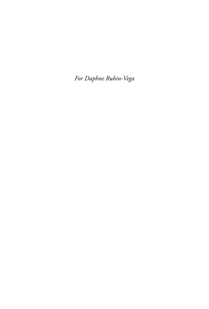*For Daphne Rubin-Vega*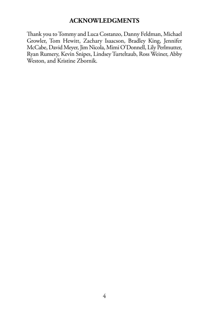## **ACKNOWLEDGMENTS**

Thank you to Tommy and Luca Costanzo, Danny Feldman, Michael Growler, Tom Hewitt, Zachary Isaacson, Bradley King, Jennifer McCabe, David Meyer, Jim Nicola, Mimi O'Donnell, Lily Perlmutter, Ryan Rumery, Kevin Snipes, Lindsey Turteltaub, Ross Weiner, Abby Weston, and Kristine Zbornik.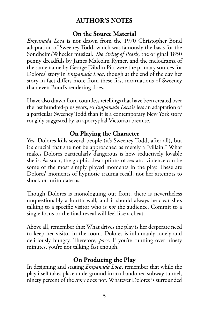# **AUTHOR'S NOTES**

### **On the Source Material**

*Empanada Loca* is not drawn from the 1970 Christopher Bond adaptation of Sweeney Todd, which was famously the basis for the Sondheim/Wheeler musical. *The String of Pearls*, the original 1850 penny dreadfuls by James Malcolm Rymer, and the melodrama of the same name by George Dibdin Pitt were the primary sources for Dolores' story in *Empanada Loca*, though at the end of the day her story in fact differs more from these first incarnations of Sweeney than even Bond's rendering does.

I have also drawn from countless retellings that have been created over the last hundred-plus years, so *Empanada Loca* is less an adaptation of a particular Sweeney Todd than it is a contemporary New York story roughly suggested by an apocryphal Victorian premise.

# **On Playing the Character**

Yes, Dolores kills several people (it's Sweeney Todd, after all), but it's crucial that she not be approached as merely a "villain." What makes Dolores particularly dangerous is how seductively lovable she is. As such, the graphic descriptions of sex and violence can be some of the most simply played moments in the play. These are Dolores' moments of hypnotic trauma recall, not her attempts to shock or intimidate us.

Though Dolores is monologuing out front, there is nevertheless unquestionably a fourth wall, and it should always be clear she's talking to a specific visitor who is *not* the audience. Commit to a single focus or the final reveal will feel like a cheat.

Above all, remember this: What drives the play is her desperate need to keep her visitor in the room. Dolores is inhumanly lonely and deliriously hungry. Therefore, *pace*. If you're running over ninety minutes, you're not talking fast enough.

## **On Producing the Play**

In designing and staging *Empanada Loca*, remember that while the play itself takes place underground in an abandoned subway tunnel, ninety percent of the *story* does not. Whatever Dolores is surrounded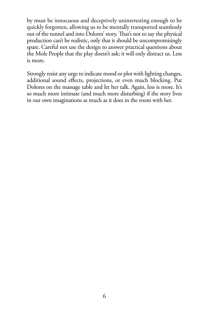by must be innocuous and deceptively uninteresting enough to be quickly forgotten, allowing us to be mentally transported seamlessly out of the tunnel and into Dolores' story. That's not to say the physical production can't be realistic, only that it should be uncompromisingly spare. Careful not use the design to answer practical questions about the Mole People that the play doesn't ask; it will only distract us. Less is more.

Strongly resist any urge to indicate mood or plot with lighting changes, additional sound effects, projections, or even much blocking. Put Dolores on the massage table and let her talk. Again, less is more. It's so much more intimate (and much more disturbing) if the story lives in our own imaginations as much as it does in the room with her.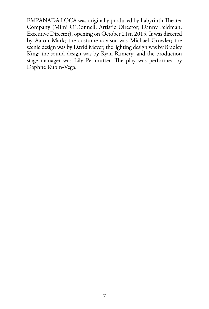EMPANADA LOCA was originally produced by Labyrinth Theater Company (Mimi O'Donnell, Artistic Director; Danny Feldman, Executive Director), opening on October 21st, 2015. It was directed by Aaron Mark; the costume advisor was Michael Growler; the scenic design was by David Meyer; the lighting design was by Bradley King; the sound design was by Ryan Rumery; and the production stage manager was Lily Perlmutter. The play was performed by Daphne Rubin-Vega.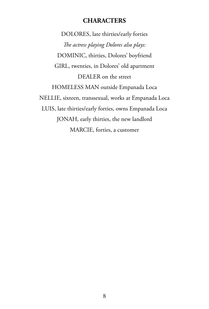## **CHARACTERS**

DOLORES, late thirties/early forties *The actress playing Dolores also plays:* DOMINIC, thirties, Dolores' boyfriend GIRL, twenties, in Dolores' old apartment DEALER on the street HOMELESS MAN outside Empanada Loca NELLIE, sixteen, transsexual, works at Empanada Loca LUIS, late thirties/early forties, owns Empanada Loca JONAH, early thirties, the new landlord MARCIE, forties, a customer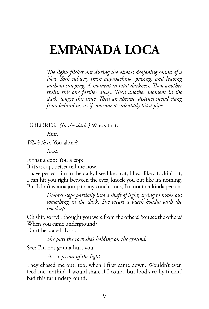# **EMPANADA LOCA**

*The lights flicker out during the almost deafening sound of a New York subway train approaching, passing, and leaving without stopping. A moment in total darkness. Then another train, this one farther away. Then another moment in the dark, longer this time. Then an abrupt, distinct metal clang from behind us, as if someone accidentally hit a pipe.*

DOLORES. *(In the dark.)* Who's that.

*Beat.*

*Who's that.* You alone?

*Beat.*

Is that a cop? You a cop?

If it's a cop, better tell me now.

I have perfect aim in the dark, I see like a cat, I hear like a fuckin' bat, I can hit you right between the eyes, knock you out like it's nothing. But I don't wanna jump to any conclusions, I'm not that kinda person.

> *Dolores steps partially into a shaft of light, trying to make out something in the dark. She wears a black hoodie with the hood up.*

Oh shit, sorry! I thought you were from the others! You see the others? When you came underground?

Don't be scared. Look —

*She puts the rock she's holding on the ground.*

See? I'm not gonna hurt you.

*She steps out of the light.*

They chased me out, too, when I first came down. Wouldn't even feed me, nothin'. I would share if I could, but food's really fuckin' bad this far underground.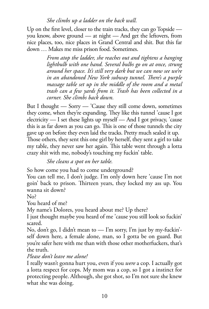### *She climbs up a ladder on the back wall.*

Up on the first level, closer to the train tracks, they can go Topside you know, above ground — at night — And get the leftovers, from nice places, too, nice places in Grand Central and shit. But this far down … Makes me miss prison food. Sometimes.

> *From atop the ladder, she reaches out and tightens a hanging lightbulb with one hand. Several bulbs go on at once, strung around her space. It's still very dark but we can now see we're in an abandoned New York subway tunnel. There's a purple massage table set up in the middle of the room and a metal trash can a few yards from it. Trash has been collected in a corner. She climbs back down.*

But I thought — Sorry — 'Cause they still come down, sometimes they come, when they're expanding. They like this tunnel 'cause I got electricity — I set these lights up myself — And I got privacy, 'cause this is as far down as you can go. This is one of those tunnels the city gave up on before they even laid the tracks. Pretty much sealed it up. Those others, they sent this one girl by herself, they sent a girl to take my table, they never saw her again. This table went through a lotta crazy shit with me, nobody's touching my fuckin' table.

*She cleans a spot on her table.*

So how come you had to come underground?

You can tell me, I don't judge. I'm only down here 'cause I'm not goin' back to prison. Thirteen years, they locked my ass up. You wanna sit down?

No?

You heard of me?

My name's Dolores, you heard about me? Up there?

I just thought maybe you heard of me 'cause you still look so fuckin' scared.

No, don't go, I didn't mean to — I'm sorry, I'm just by my-fuckin' self down here, a female alone, man, so I gotta be on guard. But you're safer here with me than with those other motherfuckers, that's the truth.

*Please don't leave me alone!*

I really wasn't gonna hurt you, even if you *were* a cop. I actually got a lotta respect for cops. My mom was a cop, so I got a instinct for protecting people. Although, she got shot, so I'm not sure she knew what she was doing.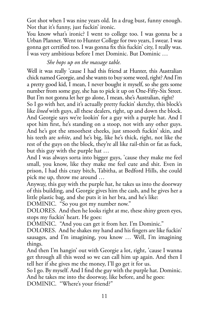Got shot when I was nine years old. In a drug bust, funny enough. Not that it's funny, just fuckin' ironic.

You know what's ironic? I went to college too. I was gonna be a Urban Planner. Went to Hunter College for two years, I swear. I was gonna get certified too. I was gonna fix this fuckin' city, I really was. I was very ambitious before I met Dominic. But Dominic …

## *She hops up on the massage table.*

Well it was really 'cause I had this friend at Hunter, this Australian chick named Georgie, and she wants to buy some weed, right? And I'm a pretty good kid, I mean, I never bought it myself, so she gets some number from some guy, she has to pick it up on One-Fifty-Six Street. But I'm not gonna let her go alone, I mean, she's Australian, right?

So I go with her, and it's actually pretty fuckin' sketchy, this block's like *lined* with guys, all these dealers, right, up and down the block. And Georgie says we're lookin' for a guy with a purple hat. And I spot him first, he's standing on a stoop, not with any other guys. And he's got the smoothest cheeks, just smooth fuckin' skin, and his teeth are *white*, and he's big, like he's thick, right, not like the rest of the guys on the block, they're all like rail-thin or fat as fuck, but this guy with the purple hat …

And I was always sorta into bigger guys, 'cause they make me feel small, you know, like they make me feel cute and shit. Even in prison, I had this crazy bitch, Tabitha, at Bedford Hills, she could pick me up, throw me around …

Anyway, this guy with the purple hat, he takes us into the doorway of this building, and Georgie gives him the cash, and he gives her a little plastic bag, and she puts it in her bra, and he's like:

DOMINIC. "So you got my number now."

DOLORES. And then he looks right at me, these shiny green eyes, stops my fuckin' heart. He goes:

DOMINIC. "And you can get it from her. I'm Dominic."

DOLORES. And he shakes my hand and his fingers are like fuckin' sausages, and I'm imagining, you know … Well, I'm imagining things.

And then I'm hangin' out with Georgie a lot, right, 'cause I wanna get through all this weed so we can call him up again. And then I tell her if she gives me the money, I'll go get it for us.

So I go. By myself. And I find the guy with the purple hat. Dominic. And he takes me into the doorway, like before, and he goes:

DOMINIC. "Where's your friend?"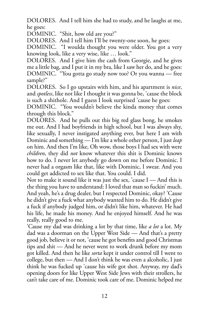DOLORES. And I tell him she had to study, and he laughs at me, he goes:

DOMINIC. "Shit, how old are you?"

DOLORES. And I tell him I'll be twenty-one soon, he goes:

DOMINIC. "I woulda thought you were older. You got a very knowing look, like a very wise, like … look."

DOLORES. And I give him the cash from Georgie, and he gives me a little bag, and I put it in my bra, like I saw her do, and he goes: DOMINIC. "You gotta go study now too? Or you wanna — free sample?"

DOLORES. So I go upstairs with him, and his apartment is *nice*, and *spotless*, like not like I thought it was gonna be, 'cause the block is such a shithole. And I guess I look surprised 'cause he goes:

DOMINIC. "You wouldn't believe the kinda money that comes through this block."

DOLORES. And he pulls out this big red glass bong, he smokes me out. And I had boyfriends in high school, but I was always shy, like sexually, I never instigated anything ever, but here I am with Dominic and something — I'm like a whole other person, I just *leap* on him. And then I'm like, Oh wow, those boys I had sex with were *children*, they did *not* know whatever this shit is Dominic knows how to do. I never let anybody go down on me before Dominic. I never had a orgasm like that, like with Dominic, I swear. And you could get addicted to sex like that. You could. I did.

Not to make it sound like it was just the sex, 'cause I — And this is the thing you have to understand: I loved that man so fuckin' much. And yeah, he's a drug dealer, but I respected Dominic, okay? 'Cause he didn't give a fuck what anybody wanted him to do. He didn't give a fuck if anybody judged him, or didn't like him, whatever. He had his life, he made his money. And he enjoyed himself. And he was really, really good to me.

'Cause my dad was drinking a lot by that time, like *a lot* a lot. My dad was a doorman on the Upper West Side — And that's a pretty good job, believe it or not, 'cause he got benefits and good Christmas tips and shit — And he never went to work drunk before my mom got killed. And then he like *sorta* kept it under control till I went to college, but then — And I don't think he was even a alcoholic, I just think he was fucked up 'cause his wife got shot. Anyway, my dad's opening doors for like Upper West Side Jews with their strollers, he can't take care of me. Dominic took care of me. Dominic helped me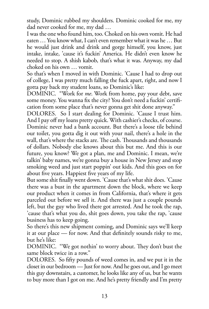study, Dominic rubbed my shoulders. Dominic cooked for me, my dad never cooked for me, my dad …

I was the one who found him, too. Choked on his own vomit. He had eaten … You know what, I can't even remember what it was he … But he would just drink and drink and gorge himself, you know, just intake, intake, 'cause it's fuckin' America. He didn't even know he needed to stop. A shish kabob, that's what it was. Anyway, my dad choked on his own … vomit.

So that's when I moved in with Dominic. 'Cause I had to drop out of college, I was pretty much falling the fuck apart, right, and now I gotta pay back my student loans, so Dominic's like:

DOMINIC. "Work for *me*. Work from home, pay your debt, save some money. You wanna fix the city? You don't need a fuckin' certification from some place that's never gonna get shit done anyway."

DOLORES. So I start dealing for Dominic. 'Cause I trust him. And I pay off my loans pretty quick. With cashier's checks, of course. Dominic never had a bank account. But there's a loose tile behind our toilet, you gotta dig it out with your nail, there's a hole in the wall, that's where the stacks are. The cash. Thousands and thousands of dollars. Nobody else knows about this but me. And this is our future, you know? We got a plan, me and Dominic. I mean, we're talkin' baby names, we're gonna buy a house in New Jersey and stop smoking weed and just start poppin' out kids. And this goes on for about five years. Happiest five years of my life.

But some shit finally went down. 'Cause that's what shit does. 'Cause there was a bust in the apartment down the block, where we keep our product when it comes in from California, that's where it gets parceled out before we sell it. And there was just a couple pounds left, but the guy who lived there got arrested. And he took the rap, 'cause that's what you do, shit goes down, you take the rap, 'cause business has to keep going.

So there's this new shipment coming, and Dominic says we'll keep it at our place — for now. And that definitely sounds risky to me, but he's like:

DOMINIC. "We got nothin' to worry about. They don't bust the same block twice in a row."

DOLORES. So fifty pounds of weed comes in, and we put it in the closet in our bedroom — Just for now. And he goes out, and I go meet this guy downstairs, a customer, he looks like any of us, but he wants to buy more than I got on me. And he's pretty friendly and I'm pretty